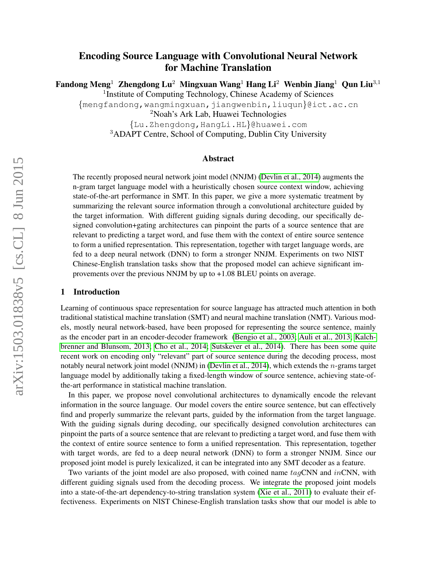# Encoding Source Language with Convolutional Neural Network for Machine Translation

Fandong Meng<sup>1</sup> Zhengdong Lu<sup>2</sup> Mingxuan Wang<sup>1</sup> Hang Li<sup>2</sup> Wenbin Jiang<sup>1</sup> Qun Liu<sup>3,1</sup>

<sup>1</sup>Institute of Computing Technology, Chinese Academy of Sciences

{mengfandong,wangmingxuan,jiangwenbin,liuqun}@ict.ac.cn

<sup>2</sup>Noah's Ark Lab, Huawei Technologies

{Lu.Zhengdong,HangLi.HL}@huawei.com

<sup>3</sup>ADAPT Centre, School of Computing, Dublin City University

#### Abstract

The recently proposed neural network joint model (NNJM) [\(Devlin et al., 2014\)](#page-10-0) augments the n-gram target language model with a heuristically chosen source context window, achieving state-of-the-art performance in SMT. In this paper, we give a more systematic treatment by summarizing the relevant source information through a convolutional architecture guided by the target information. With different guiding signals during decoding, our specifically designed convolution+gating architectures can pinpoint the parts of a source sentence that are relevant to predicting a target word, and fuse them with the context of entire source sentence to form a unified representation. This representation, together with target language words, are fed to a deep neural network (DNN) to form a stronger NNJM. Experiments on two NIST Chinese-English translation tasks show that the proposed model can achieve significant improvements over the previous NNJM by up to +1.08 BLEU points on average.

#### 1 Introduction

Learning of continuous space representation for source language has attracted much attention in both traditional statistical machine translation (SMT) and neural machine translation (NMT). Various models, mostly neural network-based, have been proposed for representing the source sentence, mainly as the encoder part in an encoder-decoder framework [\(Bengio et al., 2003;](#page-10-1) [Auli et al., 2013;](#page-10-2) [Kalch](#page-11-0)[brenner and Blunsom, 2013;](#page-11-0) [Cho et al., 2014;](#page-10-3) [Sutskever et al., 2014\)](#page-11-1). There has been some quite recent work on encoding only "relevant" part of source sentence during the decoding process, most notably neural network joint model (NNJM) in [\(Devlin et al., 2014\)](#page-10-0), which extends the n-grams target language model by additionally taking a fixed-length window of source sentence, achieving state-ofthe-art performance in statistical machine translation.

In this paper, we propose novel convolutional architectures to dynamically encode the relevant information in the source language. Our model covers the entire source sentence, but can effectively find and properly summarize the relevant parts, guided by the information from the target language. With the guiding signals during decoding, our specifically designed convolution architectures can pinpoint the parts of a source sentence that are relevant to predicting a target word, and fuse them with the context of entire source sentence to form a unified representation. This representation, together with target words, are fed to a deep neural network (DNN) to form a stronger NNJM. Since our proposed joint model is purely lexicalized, it can be integrated into any SMT decoder as a feature.

Two variants of the joint model are also proposed, with coined name  $tagCNN$  and  $inCNN$ , with different guiding signals used from the decoding process. We integrate the proposed joint models into a state-of-the-art dependency-to-string translation system [\(Xie et al., 2011\)](#page-11-2) to evaluate their effectiveness. Experiments on NIST Chinese-English translation tasks show that our model is able to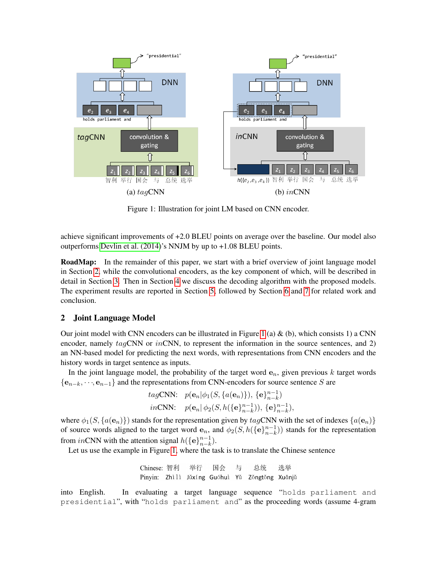

<span id="page-1-1"></span>Figure 1: Illustration for joint LM based on CNN encoder.

achieve significant improvements of +2.0 BLEU points on average over the baseline. Our model also outperforms [Devlin et al. \(2014\)](#page-10-0)'s NNJM by up to +1.08 BLEU points.

**RoadMap:** In the remainder of this paper, we start with a brief overview of joint language model in Section [2,](#page-1-0) while the convolutional encoders, as the key component of which, will be described in detail in Section [3.](#page-2-0) Then in Section [4](#page-5-0) we discuss the decoding algorithm with the proposed models. The experiment results are reported in Section [5,](#page-6-0) followed by Section [6](#page-9-0) and [7](#page-10-4) for related work and conclusion.

## <span id="page-1-0"></span>2 Joint Language Model

Our joint model with CNN encoders can be illustrated in Figure [1](#page-1-1) (a)  $\&$  (b), which consists 1) a CNN encoder, namely  $taqCNN$  or  $inCNN$ , to represent the information in the source sentences, and 2) an NN-based model for predicting the next words, with representations from CNN encoders and the history words in target sentence as inputs.

In the joint language model, the probability of the target word  $e_n$ , given previous k target words  ${e_{n-k}, \dots, e_{n-1}}$  and the representations from CNN-encoders for source sentence S are

*tag*CNN: 
$$
p(\mathbf{e}_n | \phi_1(S, \{a(\mathbf{e}_n)\}), \{\mathbf{e}\}_{n-k}^{n-1})
$$
  
*in*CNN:  $p(\mathbf{e}_n | \phi_2(S, h(\{\mathbf{e}\}_{n-k}^{n-1})), \{\mathbf{e}\}_{n-k}^{n-1}),$ 

where  $\phi_1(S, \{a(e_n)\})$  stands for the representation given by  $tagCNN$  with the set of indexes  $\{a(e_n)\}$ of source words aligned to the target word  $e_n$ , and  $\phi_2(S, h({\{e\}}_{n-k}^{n-1}))$  $_{n-k}^{n-1}$ ) stands for the representation from inCNN with the attention signal  $h(\{\mathbf{e}\}_{n=k}^{n-1})$  $_{n-k}^{n-1}$ ).

Let us use the example in Figure [1,](#page-1-1) where the task is to translate the Chinese sentence

Chinese: 智利 举行 国会 与 总统 选举 Pinyin: Zhì lì Jǔxíng Guóhuì Yǔ Zǒngtǒng Xuǎnjǔ

into English. In evaluating a target language sequence "holds parliament and presidential", with "holds parliament and" as the proceeding words (assume 4-gram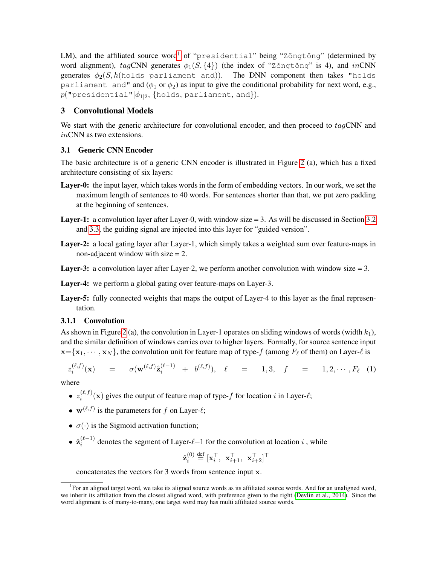LM), and the affiliated source word<sup>[1](#page-2-1)</sup> of "presidential" being "Zǒngtǒng" (determined by word alignment),  $tagCNN$  generates  $\phi_1(S, \{4\})$  (the index of "Zŏngtŏng" is 4), and inCNN generates  $\phi_2(S, h(\text{holds partial})$ . The DNN component then takes "holds" parliament and" and ( $\phi_1$  or  $\phi_2$ ) as input to give the conditional probability for next word, e.g.,  $p($ "presidential" $|\phi_{1|2},\{$ holds, parliament, and}).

## <span id="page-2-0"></span>3 Convolutional Models

We start with the generic architecture for convolutional encoder, and then proceed to tagCNN and inCNN as two extensions.

### <span id="page-2-2"></span>3.1 Generic CNN Encoder

The basic architecture is of a generic CNN encoder is illustrated in Figure [2](#page-3-0) (a), which has a fixed architecture consisting of six layers:

- Layer-0: the input layer, which takes words in the form of embedding vectors. In our work, we set the maximum length of sentences to 40 words. For sentences shorter than that, we put zero padding at the beginning of sentences.
- Layer-1: a convolution layer after Layer-0, with window size = 3. As will be discussed in Section [3.2](#page-4-0) and [3.3,](#page-4-1) the guiding signal are injected into this layer for "guided version".
- Layer-2: a local gating layer after Layer-1, which simply takes a weighted sum over feature-maps in non-adjacent window with size = 2.
- **Layer-3:** a convolution layer after Layer-2, we perform another convolution with window size  $= 3$ .
- Layer-4: we perform a global gating over feature-maps on Layer-3.
- Layer-5: fully connected weights that maps the output of Layer-4 to this layer as the final representation.

## 3.1.1 Convolution

As shown in Figure [2](#page-3-0) (a), the convolution in Layer-1 operates on sliding windows of words (width  $k_1$ ), and the similar definition of windows carries over to higher layers. Formally, for source sentence input  $\mathbf{x} = \{x_1, \dots, x_N\}$ , the convolution unit for feature map of type-f (among  $F_\ell$  of them) on Layer- $\ell$  is

$$
z_i^{(\ell,f)}(\mathbf{x}) = \sigma(\mathbf{w}^{(\ell,f)}\hat{\mathbf{z}}_i^{(\ell-1)} + b^{(\ell,f)}), \quad \ell = 1,3, \quad f = 1,2,\cdots,F_{\ell} \quad (1)
$$

where

- $\bullet$   $z_i^{(\ell,f)}$  $\binom{[k,j]}{i}$  gives the output of feature map of type-f for location i in Layer- $\ell$ ;
- $\mathbf{w}^{(\ell,f)}$  is the parameters for f on Layer- $\ell$ ;
- $\sigma(\cdot)$  is the Sigmoid activation function;
- $\bullet$   $\hat{\mathbf{z}}_i^{(\ell-1)}$  $\sum_{i=1}^{(k-1)}$  denotes the segment of Layer- $\ell$ -1 for the convolution at location i, while

$$
\hat{\mathbf{z}}_i^{\left(0\right)} \stackrel{\text{def}}{=} [\mathbf{x}_i^\top,~\mathbf{x}_{i+1}^\top,~\mathbf{x}_{i+2}^\top]^\top
$$

concatenates the vectors for 3 words from sentence input x.

<span id="page-2-1"></span><sup>&</sup>lt;sup>1</sup>For an aligned target word, we take its aligned source words as its affiliated source words. And for an unaligned word, we inherit its affiliation from the closest aligned word, with preference given to the right [\(Devlin et al., 2014\)](#page-10-0). Since the word alignment is of many-to-many, one target word may has multi affiliated source words.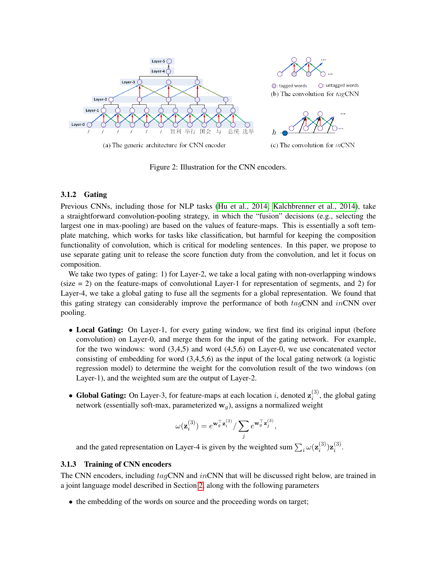

<span id="page-3-0"></span>Figure 2: Illustration for the CNN encoders.

#### 3.1.2 Gating

Previous CNNs, including those for NLP tasks [\(Hu et al., 2014;](#page-10-5) [Kalchbrenner et al., 2014\)](#page-11-3), take a straightforward convolution-pooling strategy, in which the "fusion" decisions (e.g., selecting the largest one in max-pooling) are based on the values of feature-maps. This is essentially a soft template matching, which works for tasks like classification, but harmful for keeping the composition functionality of convolution, which is critical for modeling sentences. In this paper, we propose to use separate gating unit to release the score function duty from the convolution, and let it focus on composition.

We take two types of gating: 1) for Layer-2, we take a local gating with non-overlapping windows  $(size = 2)$  on the feature-maps of convolutional Layer-1 for representation of segments, and 2) for Layer-4, we take a global gating to fuse all the segments for a global representation. We found that this gating strategy can considerably improve the performance of both  $taqCNN$  and  $inCNN$  over pooling.

- Local Gating: On Layer-1, for every gating window, we first find its original input (before convolution) on Layer-0, and merge them for the input of the gating network. For example, for the two windows: word (3,4,5) and word (4,5,6) on Layer-0, we use concatenated vector consisting of embedding for word (3,4,5,6) as the input of the local gating network (a logistic regression model) to determine the weight for the convolution result of the two windows (on Layer-1), and the weighted sum are the output of Layer-2.
- Global Gating: On Layer-3, for feature-maps at each location i, denoted  $z_i^{(3)}$  $i^{(5)}$ , the global gating network (essentially soft-max, parameterized  $w_q$ ), assigns a normalized weight

$$
\omega(\mathbf{z}^{(3)}_i) = e^{\mathbf{w}_g^\top \mathbf{z}^{(3)}_i}/\sum_j e^{\mathbf{w}_g^\top \mathbf{z}^{(3)}_j},
$$

and the gated representation on Layer-4 is given by the weighted sum  $\sum_i \omega(\mathbf{z}_i^{(3)})$  $\left(3\atop i\right){\bf z}\left(3\right)$  $\binom{5}{i}$ .

#### 3.1.3 Training of CNN encoders

The CNN encoders, including  $tag$ CNN and  $in$ CNN that will be discussed right below, are trained in a joint language model described in Section [2,](#page-1-0) along with the following parameters

• the embedding of the words on source and the proceeding words on target;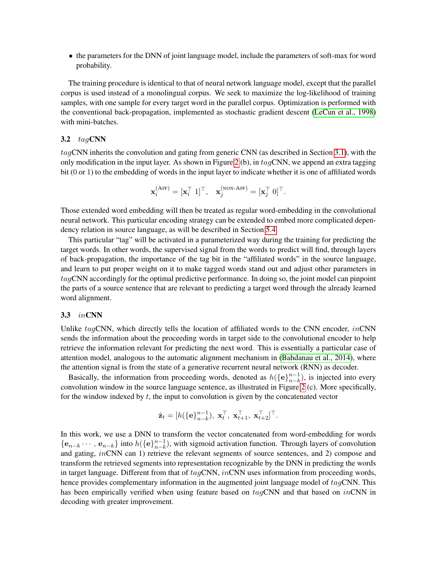• the parameters for the DNN of joint language model, include the parameters of soft-max for word probability.

The training procedure is identical to that of neural network language model, except that the parallel corpus is used instead of a monolingual corpus. We seek to maximize the log-likelihood of training samples, with one sample for every target word in the parallel corpus. Optimization is performed with the conventional back-propagation, implemented as stochastic gradient descent [\(LeCun et al., 1998\)](#page-11-4) with mini-batches.

#### <span id="page-4-0"></span>3.2  $tagCNN$

tagCNN inherits the convolution and gating from generic CNN (as described in Section [3.1\)](#page-2-2), with the only modification in the input layer. As shown in Figure [2](#page-3-0) (b), in  $taqCNN$ , we append an extra tagging bit (0 or 1) to the embedding of words in the input layer to indicate whether it is one of affiliated words

$$
\mathbf{x}_i^{\left(\text{AFF}\right)} = [\mathbf{x}_i^\top \ 1]^\top, \quad \mathbf{x}_j^{\left(\text{non-A}\text{FF}\right)} = [\mathbf{x}_j^\top \ 0]^\top.
$$

Those extended word embedding will then be treated as regular word-embedding in the convolutional neural network. This particular encoding strategy can be extended to embed more complicated dependency relation in source language, as will be described in Section [5.4.](#page-8-0)

This particular "tag" will be activated in a parameterized way during the training for predicting the target words. In other words, the supervised signal from the words to predict will find, through layers of back-propagation, the importance of the tag bit in the "affiliated words" in the source language, and learn to put proper weight on it to make tagged words stand out and adjust other parameters in tagCNN accordingly for the optimal predictive performance. In doing so, the joint model can pinpoint the parts of a source sentence that are relevant to predicting a target word through the already learned word alignment.

#### <span id="page-4-1"></span>3.3 inCNN

Unlike  $tagCNN$ , which directly tells the location of affiliated words to the CNN encoder,  $inCNN$ sends the information about the proceeding words in target side to the convolutional encoder to help retrieve the information relevant for predicting the next word. This is essentially a particular case of attention model, analogous to the automatic alignment mechanism in [\(Bahdanau et al., 2014\)](#page-10-6), where the attention signal is from the state of a generative recurrent neural network (RNN) as decoder.

Basically, the information from proceeding words, denoted as  $h(\{\mathbf{e}\}_{n-k}^{n-1})$  $_{n-k}^{n-1}$ ), is injected into every convolution window in the source language sentence, as illustrated in Figure [2](#page-3-0) (c). More specifically, for the window indexed by  $t$ , the input to convolution is given by the concatenated vector

$$
\hat{\mathbf{z}}_t = [h(\{\mathbf{e}\}_{n-k}^{n-1}), \ \mathbf{x}_t^{\top}, \ \mathbf{x}_{t+1}^{\top}, \ \mathbf{x}_{t+2}^{\top}]^{\top}.
$$

In this work, we use a DNN to transform the vector concatenated from word-embedding for words  $\{\mathbf e_{n-k} \cdots, \mathbf e_{n-k}\}\$ into  $h(\{\mathbf e\}_{n-k}^{n-1})$  $_{n-k}^{n-1}$ ), with sigmoid activation function. Through layers of convolution and gating, inCNN can 1) retrieve the relevant segments of source sentences, and 2) compose and transform the retrieved segments into representation recognizable by the DNN in predicting the words in target language. Different from that of  $tag\text{CNN}, in\text{CNN}$  uses information from proceeding words, hence provides complementary information in the augmented joint language model of  $tagCNN$ . This has been empirically verified when using feature based on  $tagCNN$  and that based on  $inCNN$  in decoding with greater improvement.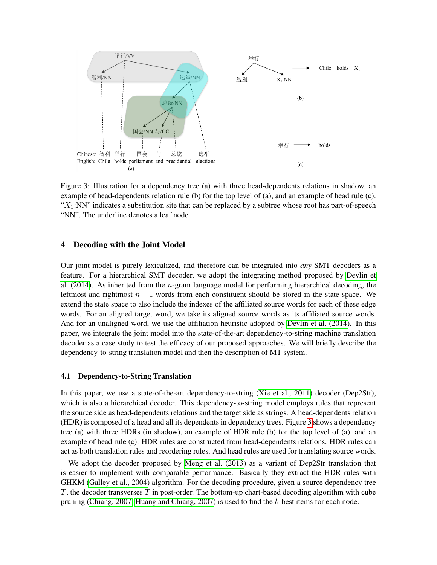

<span id="page-5-1"></span>Figure 3: Illustration for a dependency tree (a) with three head-dependents relations in shadow, an example of head-dependents relation rule (b) for the top level of (a), and an example of head rule (c). " $X_1$ :NN" indicates a substitution site that can be replaced by a subtree whose root has part-of-speech "NN". The underline denotes a leaf node.

### <span id="page-5-0"></span>4 Decoding with the Joint Model

Our joint model is purely lexicalized, and therefore can be integrated into *any* SMT decoders as a feature. For a hierarchical SMT decoder, we adopt the integrating method proposed by [Devlin et](#page-10-0) [al. \(2014\)](#page-10-0). As inherited from the  $n$ -gram language model for performing hierarchical decoding, the leftmost and rightmost  $n - 1$  words from each constituent should be stored in the state space. We extend the state space to also include the indexes of the affiliated source words for each of these edge words. For an aligned target word, we take its aligned source words as its affiliated source words. And for an unaligned word, we use the affiliation heuristic adopted by [Devlin et al. \(2014\)](#page-10-0). In this paper, we integrate the joint model into the state-of-the-art dependency-to-string machine translation decoder as a case study to test the efficacy of our proposed approaches. We will briefly describe the dependency-to-string translation model and then the description of MT system.

#### 4.1 Dependency-to-String Translation

In this paper, we use a state-of-the-art dependency-to-string [\(Xie et al., 2011\)](#page-11-2) decoder (Dep2Str), which is also a hierarchical decoder. This dependency-to-string model employs rules that represent the source side as head-dependents relations and the target side as strings. A head-dependents relation (HDR) is composed of a head and all its dependents in dependency trees. Figure [3](#page-5-1) shows a dependency tree (a) with three HDRs (in shadow), an example of HDR rule (b) for the top level of (a), and an example of head rule (c). HDR rules are constructed from head-dependents relations. HDR rules can act as both translation rules and reordering rules. And head rules are used for translating source words.

We adopt the decoder proposed by [Meng et al. \(2013\)](#page-11-5) as a variant of Dep2Str translation that is easier to implement with comparable performance. Basically they extract the HDR rules with GHKM [\(Galley et al., 2004\)](#page-10-7) algorithm. For the decoding procedure, given a source dependency tree  $T$ , the decoder transverses  $T$  in post-order. The bottom-up chart-based decoding algorithm with cube pruning [\(Chiang, 2007;](#page-10-8) [Huang and Chiang, 2007\)](#page-11-6) is used to find the k-best items for each node.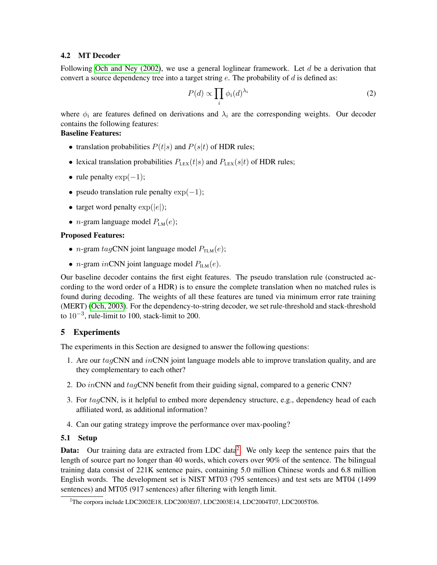### 4.2 MT Decoder

Following [Och and Ney \(2002\)](#page-11-7), we use a general loglinear framework. Let  $d$  be a derivation that convert a source dependency tree into a target string  $e$ . The probability of  $d$  is defined as:

$$
P(d) \propto \prod_i \phi_i(d)^{\lambda_i} \tag{2}
$$

where  $\phi_i$  are features defined on derivations and  $\lambda_i$  are the corresponding weights. Our decoder contains the following features:

## Baseline Features:

- translation probabilities  $P(t|s)$  and  $P(s|t)$  of HDR rules;
- lexical translation probabilities  $P_{\text{LEX}}(t|s)$  and  $P_{\text{LEX}}(s|t)$  of HDR rules;
- rule penalty  $\exp(-1)$ ;
- pseudo translation rule penalty  $exp(-1)$ ;
- target word penalty  $\exp(|e|)$ ;
- *n*-gram language model  $P_{LM}(e)$ ;

## Proposed Features:

- *n*-gram  $tagCNN$  joint language model  $P_{TLM}(e)$ ;
- *n*-gram *in*CNN joint language model  $P_{\text{ILM}}(e)$ .

Our baseline decoder contains the first eight features. The pseudo translation rule (constructed according to the word order of a HDR) is to ensure the complete translation when no matched rules is found during decoding. The weights of all these features are tuned via minimum error rate training (MERT) [\(Och, 2003\)](#page-11-8). For the dependency-to-string decoder, we set rule-threshold and stack-threshold to  $10^{-3}$ , rule-limit to 100, stack-limit to 200.

## <span id="page-6-0"></span>5 Experiments

The experiments in this Section are designed to answer the following questions:

- 1. Are our  $tagCNN$  and  $inCNN$  joint language models able to improve translation quality, and are they complementary to each other?
- 2. Do inCNN and tagCNN benefit from their guiding signal, compared to a generic CNN?
- 3. For tagCNN, is it helpful to embed more dependency structure, e.g., dependency head of each affiliated word, as additional information?
- 4. Can our gating strategy improve the performance over max-pooling?

## <span id="page-6-2"></span>5.1 Setup

Data: Our training data are extracted from LDC data<sup>[2](#page-6-1)</sup>. We only keep the sentence pairs that the length of source part no longer than 40 words, which covers over 90% of the sentence. The bilingual training data consist of 221K sentence pairs, containing 5.0 million Chinese words and 6.8 million English words. The development set is NIST MT03 (795 sentences) and test sets are MT04 (1499 sentences) and MT05 (917 sentences) after filtering with length limit.

<span id="page-6-1"></span><sup>&</sup>lt;sup>2</sup>The corpora include LDC2002E18, LDC2003E07, LDC2003E14, LDC2004T07, LDC2005T06.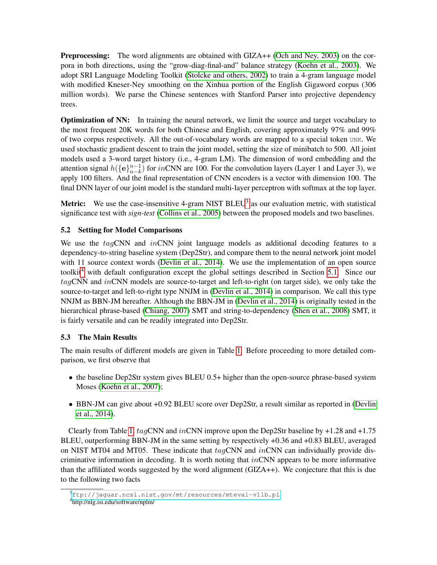Preprocessing: The word alignments are obtained with GIZA++ [\(Och and Ney, 2003\)](#page-11-9) on the corpora in both directions, using the "grow-diag-final-and" balance strategy [\(Koehn et al., 2003\)](#page-11-10). We adopt SRI Language Modeling Toolkit [\(Stolcke and others, 2002\)](#page-11-11) to train a 4-gram language model with modified Kneser-Ney smoothing on the Xinhua portion of the English Gigaword corpus (306 million words). We parse the Chinese sentences with Stanford Parser into projective dependency trees.

**Optimization of NN:** In training the neural network, we limit the source and target vocabulary to the most frequent 20K words for both Chinese and English, covering approximately 97% and 99% of two corpus respectively. All the out-of-vocabulary words are mapped to a special token UNK. We used stochastic gradient descent to train the joint model, setting the size of minibatch to 500. All joint models used a 3-word target history (i.e., 4-gram LM). The dimension of word embedding and the attention signal  $h({\{\mathbf{e}\}}_{n-k}^{n-1})$  $_{n-k}^{n-1}$ ) for  $in$ CNN are 100. For the convolution layers (Layer 1 and Layer 3), we apply 100 filters. And the final representation of CNN encoders is a vector with dimension 100. The final DNN layer of our joint model is the standard multi-layer perceptron with softmax at the top layer.

**Metric:** We use the case-insensitive 4-gram NIST BLEU<sup>[3](#page-7-0)</sup> as our evaluation metric, with statistical significance test with *sign-test* [\(Collins et al., 2005\)](#page-10-9) between the proposed models and two baselines.

## 5.2 Setting for Model Comparisons

We use the tagCNN and inCNN joint language models as additional decoding features to a dependency-to-string baseline system (Dep2Str), and compare them to the neural network joint model with 11 source context words [\(Devlin et al., 2014\)](#page-10-0). We use the implementation of an open source toolkit<sup>[4](#page-7-1)</sup> with default configuration except the global settings described in Section [5.1.](#page-6-2) Since our  $tagCNN$  and  $inCNN$  models are source-to-target and left-to-right (on target side), we only take the source-to-target and left-to-right type NNJM in [\(Devlin et al., 2014\)](#page-10-0) in comparison. We call this type NNJM as BBN-JM hereafter. Although the BBN-JM in [\(Devlin et al., 2014\)](#page-10-0) is originally tested in the hierarchical phrase-based [\(Chiang, 2007\)](#page-10-8) SMT and string-to-dependency [\(Shen et al., 2008\)](#page-11-12) SMT, it is fairly versatile and can be readily integrated into Dep2Str.

## 5.3 The Main Results

The main results of different models are given in Table [1.](#page-8-1) Before proceeding to more detailed comparison, we first observe that

- the baseline Dep2Str system gives BLEU 0.5+ higher than the open-source phrase-based system Moses [\(Koehn et al., 2007\)](#page-11-13);
- BBN-JM can give about +0.92 BLEU score over Dep2Str, a result similar as reported in [\(Devlin](#page-10-0) [et al., 2014\)](#page-10-0).

Clearly from Table [1,](#page-8-1)  $taqCNN$  and  $inCNN$  improve upon the Dep2Str baseline by +1.28 and +1.75 BLEU, outperforming BBN-JM in the same setting by respectively +0.36 and +0.83 BLEU, averaged on NIST MT04 and MT05. These indicate that  $tagCNN$  and  $inCNN$  can individually provide discriminative information in decoding. It is worth noting that  $inCNN$  appears to be more informative than the affiliated words suggested by the word alignment (GIZA++). We conjecture that this is due to the following two facts

<span id="page-7-1"></span><span id="page-7-0"></span><sup>3</sup><ftp://jaguar.ncsl.nist.gov/mt/resources/mteval-v11b.pl> 4 http://nlg.isi.edu/software/nplm/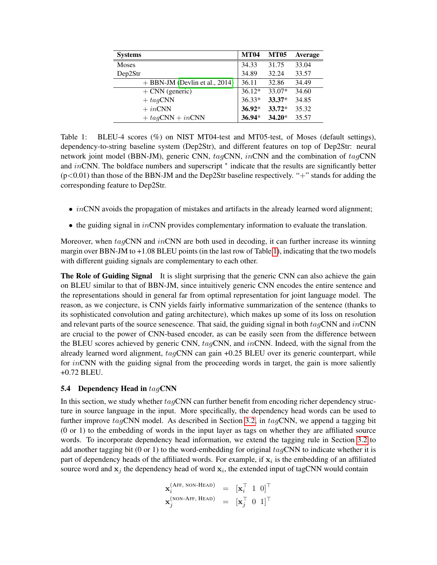| <b>Systems</b>                   | <b>MT04</b> | <b>MT05</b> | Average |
|----------------------------------|-------------|-------------|---------|
| <b>Moses</b>                     | 34.33       | 31.75       | 33.04   |
| Dep2Str                          | 34.89       | 32.24       | 33.57   |
| $+$ BBN-JM (Devlin et al., 2014) | 36.11       | 32.86       | 34.49   |
| $+$ CNN (generic)                | $36.12*$    | 33.07*      | 34.60   |
| $+tagCNN$                        | $36.33*$    | $33.37*$    | 34.85   |
| $+ in CNN$                       | $36.92*$    | $33.72*$    | 35.32   |
| $+tagCNN + inCNN$                | $36.94*$    | $34.20*$    | 35.57   |

<span id="page-8-1"></span>Table 1: BLEU-4 scores (%) on NIST MT04-test and MT05-test, of Moses (default settings), dependency-to-string baseline system (Dep2Str), and different features on top of Dep2Str: neural network joint model (BBN-JM), generic CNN, tagCNN, inCNN and the combination of tagCNN and inCNN. The boldface numbers and superscript \* indicate that the results are significantly better (p<0.01) than those of the BBN-JM and the Dep2Str baseline respectively. "+" stands for adding the corresponding feature to Dep2Str.

- $\bullet$  *inCNN* avoids the propagation of mistakes and artifacts in the already learned word alignment;
- $\bullet$  the guiding signal in *in*CNN provides complementary information to evaluate the translation.

Moreover, when  $tagCNN$  and  $inCNN$  are both used in decoding, it can further increase its winning margin over BBN-JM to +1.08 BLEU points (in the last row of Table [1\)](#page-8-1), indicating that the two models with different guiding signals are complementary to each other.

The Role of Guiding Signal It is slight surprising that the generic CNN can also achieve the gain on BLEU similar to that of BBN-JM, since intuitively generic CNN encodes the entire sentence and the representations should in general far from optimal representation for joint language model. The reason, as we conjecture, is CNN yields fairly informative summarization of the sentence (thanks to its sophisticated convolution and gating architecture), which makes up some of its loss on resolution and relevant parts of the source senescence. That said, the guiding signal in both  $taqCNN$  and  $inCNN$ are crucial to the power of CNN-based encoder, as can be easily seen from the difference between the BLEU scores achieved by generic CNN, tagCNN, and inCNN. Indeed, with the signal from the already learned word alignment,  $tag \text{CNN}$  can gain +0.25 BLEU over its generic counterpart, while for  $inCNN$  with the guiding signal from the proceeding words in target, the gain is more saliently +0.72 BLEU.

## <span id="page-8-0"></span>5.4 Dependency Head in  $tagCNN$

In this section, we study whether  $taqCNN$  can further benefit from encoding richer dependency structure in source language in the input. More specifically, the dependency head words can be used to further improve  $tag \text{CN}$  model. As described in Section [3.2,](#page-4-0) in  $tag \text{CN}$ , we append a tagging bit (0 or 1) to the embedding of words in the input layer as tags on whether they are affiliated source words. To incorporate dependency head information, we extend the tagging rule in Section [3.2](#page-4-0) to add another tagging bit (0 or 1) to the word-embedding for original  $tagCNN$  to indicate whether it is part of dependency heads of the affiliated words. For example, if  $x_i$  is the embedding of an affiliated source word and  $x_j$  the dependency head of word  $x_i$ , the extended input of tagCNN would contain

$$
\mathbf{x}_{i}^{\text{(AFF, NON-HEAD)}} = [\mathbf{x}_{i}^{\top} \ 1 \ 0]^{\top} \n\mathbf{x}_{j}^{\text{(NON-AFF, HEAD)}} = [\mathbf{x}_{j}^{\top} \ 0 \ 1]^{\top}
$$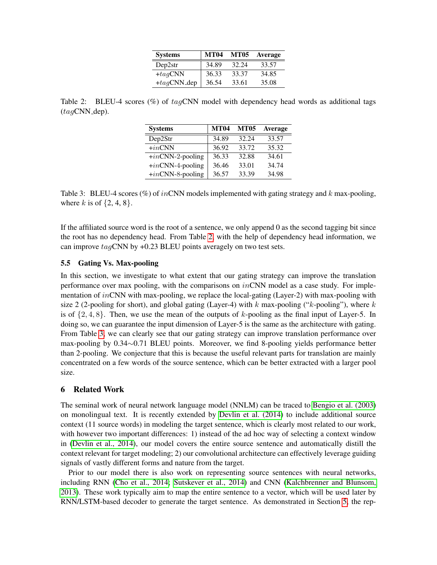| <b>Systems</b> | <b>MT04</b> | <b>MT05</b> | Average |
|----------------|-------------|-------------|---------|
| Dep2str        | 34.89       | 32.24       | 33.57   |
| $+iagCNN$      | 36.33       | 33.37       | 34.85   |
| $+tag$ CNN_dep | 36.54       | 33.61       | 35.08   |

<span id="page-9-1"></span>Table 2: BLEU-4 scores  $(\%)$  of  $tagCNN$  model with dependency head words as additional tags  $(taqCNN_dep)$ .

| <b>Systems</b>      | <b>MT04</b> | <b>MT05</b> | <b>Average</b> |
|---------------------|-------------|-------------|----------------|
| Dep2Str             | 34.89       | 32.24       | 33.57          |
| $+i n$ CNN          | 36.92       | 33.72       | 35.32          |
| $+in$ CNN-2-pooling | 36.33       | 32.88       | 34.61          |
| $+in$ CNN-4-pooling | 36.46       | 33.01       | 34.74          |
| $+in$ CNN-8-pooling | 36.57       | 33.39       | 34.98          |

<span id="page-9-2"></span>Table 3: BLEU-4 scores (%) of inCNN models implemented with gating strategy and k max-pooling, where k is of  $\{2, 4, 8\}$ .

If the affiliated source word is the root of a sentence, we only append 0 as the second tagging bit since the root has no dependency head. From Table [2,](#page-9-1) with the help of dependency head information, we can improve  $tag$ CNN by +0.23 BLEU points averagely on two test sets.

### 5.5 Gating Vs. Max-pooling

In this section, we investigate to what extent that our gating strategy can improve the translation performance over max pooling, with the comparisons on  $inCNN$  model as a case study. For implementation of inCNN with max-pooling, we replace the local-gating (Layer-2) with max-pooling with size 2 (2-pooling for short), and global gating (Layer-4) with  $k$  max-pooling (" $k$ -pooling"), where  $k$ is of  $\{2, 4, 8\}$ . Then, we use the mean of the outputs of k-pooling as the final input of Layer-5. In doing so, we can guarantee the input dimension of Layer-5 is the same as the architecture with gating. From Table [3,](#page-9-2) we can clearly see that our gating strategy can improve translation performance over max-pooling by 0.34∼0.71 BLEU points. Moreover, we find 8-pooling yields performance better than 2-pooling. We conjecture that this is because the useful relevant parts for translation are mainly concentrated on a few words of the source sentence, which can be better extracted with a larger pool size.

### <span id="page-9-0"></span>6 Related Work

The seminal work of neural network language model (NNLM) can be traced to [Bengio et al. \(2003\)](#page-10-1) on monolingual text. It is recently extended by [Devlin et al. \(2014\)](#page-10-0) to include additional source context (11 source words) in modeling the target sentence, which is clearly most related to our work, with however two important differences: 1) instead of the ad hoc way of selecting a context window in [\(Devlin et al., 2014\)](#page-10-0), our model covers the entire source sentence and automatically distill the context relevant for target modeling; 2) our convolutional architecture can effectively leverage guiding signals of vastly different forms and nature from the target.

Prior to our model there is also work on representing source sentences with neural networks, including RNN [\(Cho et al., 2014;](#page-10-3) [Sutskever et al., 2014\)](#page-11-1) and CNN [\(Kalchbrenner and Blunsom,](#page-11-0) [2013\)](#page-11-0). These work typically aim to map the entire sentence to a vector, which will be used later by RNN/LSTM-based decoder to generate the target sentence. As demonstrated in Section [5,](#page-6-0) the rep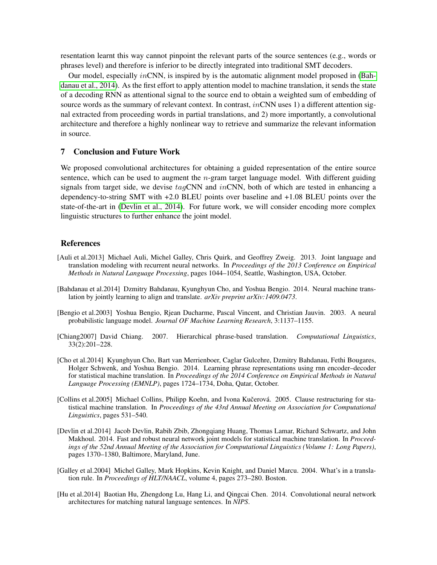resentation learnt this way cannot pinpoint the relevant parts of the source sentences (e.g., words or phrases level) and therefore is inferior to be directly integrated into traditional SMT decoders.

Our model, especially in CNN, is inspired by is the automatic alignment model proposed in [\(Bah](#page-10-6)[danau et al., 2014\)](#page-10-6). As the first effort to apply attention model to machine translation, it sends the state of a decoding RNN as attentional signal to the source end to obtain a weighted sum of embedding of source words as the summary of relevant context. In contrast, *inCNN* uses 1) a different attention signal extracted from proceeding words in partial translations, and 2) more importantly, a convolutional architecture and therefore a highly nonlinear way to retrieve and summarize the relevant information in source.

#### <span id="page-10-4"></span>7 Conclusion and Future Work

We proposed convolutional architectures for obtaining a guided representation of the entire source sentence, which can be used to augment the  $n$ -gram target language model. With different guiding signals from target side, we devise  $tag\text{CNN}$  and  $in$ CNN, both of which are tested in enhancing a dependency-to-string SMT with +2.0 BLEU points over baseline and +1.08 BLEU points over the state-of-the-art in [\(Devlin et al., 2014\)](#page-10-0). For future work, we will consider encoding more complex linguistic structures to further enhance the joint model.

### References

- <span id="page-10-2"></span>[Auli et al.2013] Michael Auli, Michel Galley, Chris Quirk, and Geoffrey Zweig. 2013. Joint language and translation modeling with recurrent neural networks. In *Proceedings of the 2013 Conference on Empirical Methods in Natural Language Processing*, pages 1044–1054, Seattle, Washington, USA, October.
- <span id="page-10-6"></span>[Bahdanau et al.2014] Dzmitry Bahdanau, Kyunghyun Cho, and Yoshua Bengio. 2014. Neural machine translation by jointly learning to align and translate. *arXiv preprint arXiv:1409.0473*.
- <span id="page-10-1"></span>[Bengio et al.2003] Yoshua Bengio, Rjean Ducharme, Pascal Vincent, and Christian Jauvin. 2003. A neural probabilistic language model. *Journal OF Machine Learning Research*, 3:1137–1155.
- <span id="page-10-8"></span>[Chiang2007] David Chiang. 2007. Hierarchical phrase-based translation. *Computational Linguistics*, 33(2):201–228.
- <span id="page-10-3"></span>[Cho et al.2014] Kyunghyun Cho, Bart van Merrienboer, Caglar Gulcehre, Dzmitry Bahdanau, Fethi Bougares, Holger Schwenk, and Yoshua Bengio. 2014. Learning phrase representations using rnn encoder–decoder for statistical machine translation. In *Proceedings of the 2014 Conference on Empirical Methods in Natural Language Processing (EMNLP)*, pages 1724–1734, Doha, Qatar, October.
- <span id="page-10-9"></span>[Collins et al.2005] Michael Collins, Philipp Koehn, and Ivona Kučerová. 2005. Clause restructuring for statistical machine translation. In *Proceedings of the 43rd Annual Meeting on Association for Computational Linguistics*, pages 531–540.
- <span id="page-10-0"></span>[Devlin et al.2014] Jacob Devlin, Rabih Zbib, Zhongqiang Huang, Thomas Lamar, Richard Schwartz, and John Makhoul. 2014. Fast and robust neural network joint models for statistical machine translation. In *Proceedings of the 52nd Annual Meeting of the Association for Computational Linguistics (Volume 1: Long Papers)*, pages 1370–1380, Baltimore, Maryland, June.
- <span id="page-10-7"></span>[Galley et al.2004] Michel Galley, Mark Hopkins, Kevin Knight, and Daniel Marcu. 2004. What's in a translation rule. In *Proceedings of HLT/NAACL*, volume 4, pages 273–280. Boston.
- <span id="page-10-5"></span>[Hu et al.2014] Baotian Hu, Zhengdong Lu, Hang Li, and Qingcai Chen. 2014. Convolutional neural network architectures for matching natural language sentences. In *NIPS*.